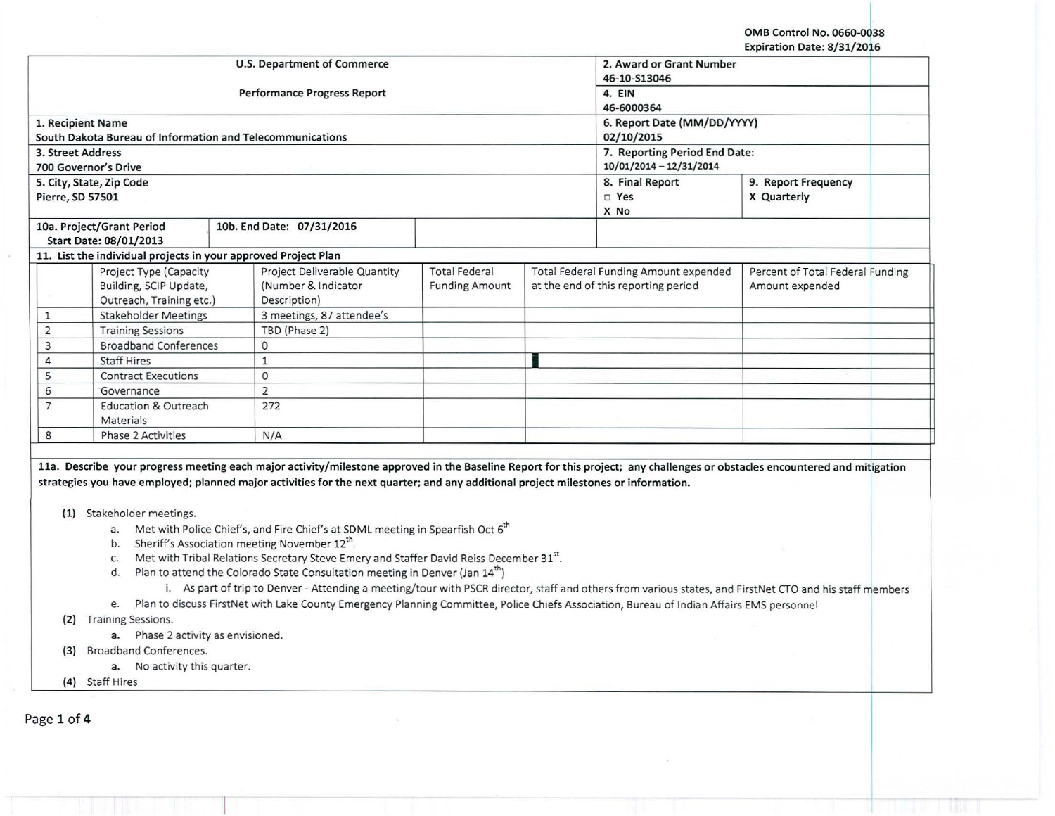OMB Control No. 0660-0038 Expiration Date: 8/31/2016

|                                            |                                                                | <b>U.S. Department of Commerce</b>                                                                                                                                         |                               |                     | 2. Award or Grant Number              |                                  |  |
|--------------------------------------------|----------------------------------------------------------------|----------------------------------------------------------------------------------------------------------------------------------------------------------------------------|-------------------------------|---------------------|---------------------------------------|----------------------------------|--|
|                                            |                                                                |                                                                                                                                                                            |                               |                     | 46-10-S13046                          |                                  |  |
|                                            |                                                                | <b>Performance Progress Report</b>                                                                                                                                         |                               |                     | 4. EIN                                |                                  |  |
|                                            |                                                                |                                                                                                                                                                            |                               |                     | 46-6000364                            |                                  |  |
| 1. Recipient Name                          |                                                                |                                                                                                                                                                            |                               |                     | 6. Report Date (MM/DD/YYYY)           |                                  |  |
|                                            | South Dakota Bureau of Information and Telecommunications      |                                                                                                                                                                            |                               |                     | 02/10/2015                            |                                  |  |
| 3. Street Address                          |                                                                |                                                                                                                                                                            | 7. Reporting Period End Date: |                     |                                       |                                  |  |
|                                            | 700 Governor's Drive                                           |                                                                                                                                                                            |                               |                     | 10/01/2014 - 12/31/2014               |                                  |  |
|                                            | 5. City, State, Zip Code                                       |                                                                                                                                                                            | 8. Final Report               | 9. Report Frequency |                                       |                                  |  |
| Pierre, SD 57501                           |                                                                |                                                                                                                                                                            |                               | $\square$ Yes       | X Quarterly                           |                                  |  |
|                                            |                                                                |                                                                                                                                                                            |                               |                     | X No                                  |                                  |  |
|                                            | 10a. Project/Grant Period                                      | 10b. End Date: 07/31/2016                                                                                                                                                  |                               |                     |                                       |                                  |  |
|                                            | Start Date: 08/01/2013                                         |                                                                                                                                                                            |                               |                     |                                       |                                  |  |
|                                            | 11. List the individual projects in your approved Project Plan |                                                                                                                                                                            |                               |                     |                                       |                                  |  |
|                                            | Project Type (Capacity                                         | Project Deliverable Quantity                                                                                                                                               | <b>Total Federal</b>          |                     | Total Federal Funding Amount expended | Percent of Total Federal Funding |  |
|                                            | Building, SCIP Update,                                         | (Number & Indicator                                                                                                                                                        | <b>Funding Amount</b>         |                     | at the end of this reporting period   | Amount expended                  |  |
|                                            | Outreach, Training etc.)                                       | Description)                                                                                                                                                               |                               |                     |                                       |                                  |  |
| 1                                          | <b>Stakeholder Meetings</b>                                    | 3 meetings, 87 attendee's                                                                                                                                                  |                               |                     |                                       |                                  |  |
| $\overline{2}$<br><b>Training Sessions</b> |                                                                | TBD (Phase 2)                                                                                                                                                              |                               |                     |                                       |                                  |  |
| 3                                          | <b>Broadband Conferences</b>                                   | $\mathbf{0}$                                                                                                                                                               |                               |                     |                                       |                                  |  |
| 4                                          | <b>Staff Hires</b>                                             | $\mathbf{1}$                                                                                                                                                               |                               |                     |                                       |                                  |  |
| 5                                          | <b>Contract Executions</b>                                     | 0                                                                                                                                                                          |                               |                     |                                       |                                  |  |
| 6                                          | Governance                                                     | 2                                                                                                                                                                          |                               |                     |                                       |                                  |  |
| 7                                          | <b>Education &amp; Outreach</b>                                | 272                                                                                                                                                                        |                               |                     |                                       |                                  |  |
|                                            | Materials                                                      |                                                                                                                                                                            |                               |                     |                                       |                                  |  |
| 8                                          | <b>Phase 2 Activities</b>                                      | N/A                                                                                                                                                                        |                               |                     |                                       |                                  |  |
|                                            |                                                                |                                                                                                                                                                            |                               |                     |                                       |                                  |  |
|                                            |                                                                | 11a. Describe your progress meeting each major activity/milestone approved in the Baseline Report for this project; any challenges or obstacles encountered and mitigation |                               |                     |                                       |                                  |  |
|                                            |                                                                | strategies you have employed; planned major activities for the next quarter; and any additional project milestones or information.                                         |                               |                     |                                       |                                  |  |
|                                            |                                                                |                                                                                                                                                                            |                               |                     |                                       |                                  |  |
| (1)                                        | Stakeholder meetings.                                          |                                                                                                                                                                            |                               |                     |                                       |                                  |  |
|                                            | a.                                                             | Met with Police Chief's, and Fire Chief's at SDML meeting in Spearfish Oct 6 <sup>th</sup>                                                                                 |                               |                     |                                       |                                  |  |
|                                            | b.                                                             | Sheriff's Association meeting November 12 <sup>th</sup> .                                                                                                                  |                               |                     |                                       |                                  |  |
|                                            | c.                                                             | Met with Tribal Relations Secretary Steve Emery and Staffer David Reiss December 31st.                                                                                     |                               |                     |                                       |                                  |  |
|                                            | d.                                                             | Plan to attend the Colorado State Consultation meeting in Denver (Jan 14 <sup>th</sup> )                                                                                   |                               |                     |                                       |                                  |  |

- i. As part of trip to Denver- Attending a meeting/tour with PSCR director, staff and others from various states, and FirstNet CTO and his staff members
- e. Plan to discuss FirstNet with Lake County Emergency Planning Committee, Police Chiefs Association, Bureau of Indian Affairs EMS personnel

(2) Training Sessions.

a. Phase 2 activity as envisioned.

(3) Broadband Conferences.

**a.** No activity this quarter.<br>(4) Staff Hires

(4) Staff Hires I -- -

Page 1 of 4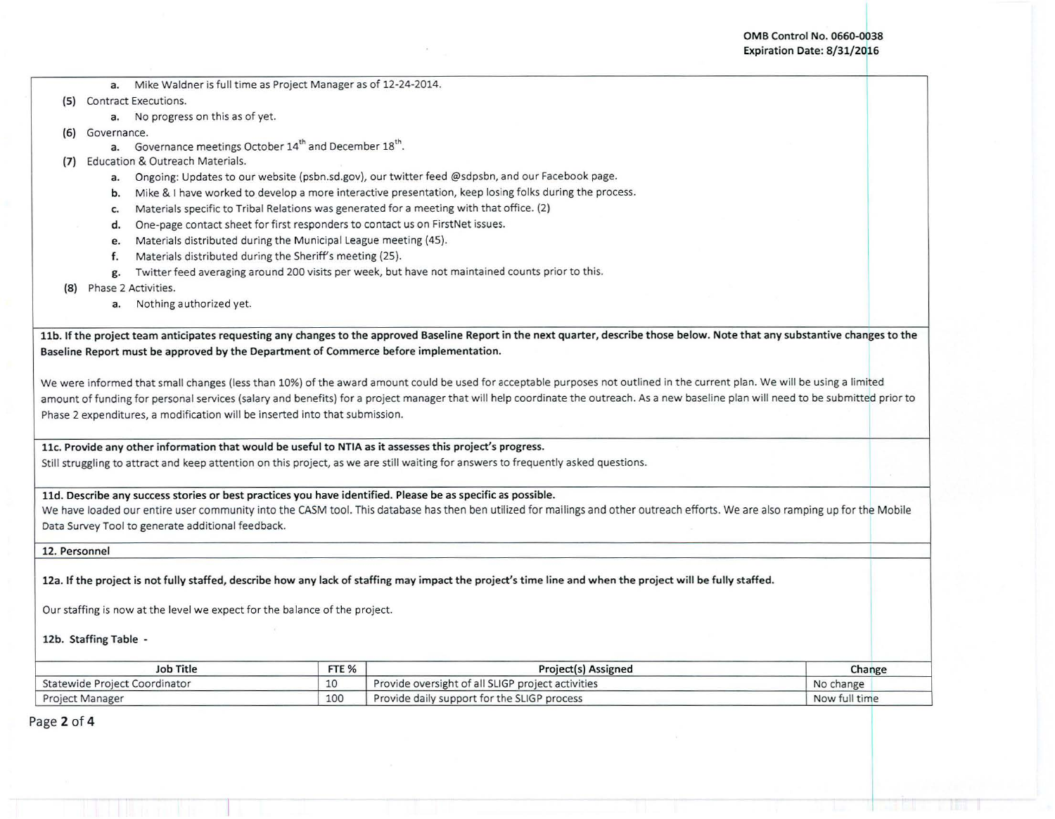I

I

- a. Mike Waldner is full time as Project Manager as of 12-24-2014.
- (5) Contract Executions.
	- a. No progress on this as of yet.
- (6) Governance.
	- a. Governance meetings October 14<sup>th</sup> and December 18<sup>th</sup>.
- (7) Education & Outreach Materials.
	- a. Ongoing: Updates to our website (psbn.sd.gov), our twitter feed @sdpsbn, and our Facebook page.
	- b. Mike & I have worked to develop a more interactive presentation, keep losing folks during the process.
	- c. Materials specific to Tribal Relations was generated for a meeting with that office. (2)
	- d. One-page contact sheet for first responders to contact us on FirstNet issues.
	- e. Materials distributed during the Municipal League meeting (45).
	- f. Materials distributed during the Sheriff's meeting (25).
	- g. Twitter feed averaging around 200 visits per week, but have not maintained counts prior to this.
- (8) Phase 2 Activities.
	- a. Nothing authorized yet.

11b. If the project team anticipates requesting any changes to the approved Baseline Report in the next quarter, describe those below. Note that any substantive changes to the Baseline Report must be approved by the Department of Commerce before implementation.

We were informed that small changes (less than 10%) of the award amount could be used for acceptable purposes not outlined in the current plan. We will be using a limited amount of funding for personal services (salary and benefits) for a project manager that will help coordinate the outreach. As a new baseline plan will need to be submitted prior to Phase 2 expenditures, a modification will be inserted into that submission.

11c. Provide any other information that would be useful to NTIA as it assesses this project's progress.

Still struggling to attract and keep attention on this project, as we are still waiting for answers to frequently asked questions.

## lld. Describe any success stories or best practices you have identified. Please be as specific as possible.

we have loaded our entire user community into the CASM tool. This database has then ben utilized for mailings and other outreach efforts. We are also ramping up for the Mobile Data Survey Tool to generate additional feedback.

12. Personnel

12a. If the project is not fully staffed, describe how any lack of staffing may impact the project's time line and when the project will be fully staffed.

Our staffing is now at the level we expect for the balance of the project.

## 12b. Staffing Table -

| <b>Job Title</b>              | FTE %           | Project(s) Assigned                               | Change        |  |
|-------------------------------|-----------------|---------------------------------------------------|---------------|--|
| Statewide Project Coordinator |                 | Provide oversight of all SLIGP project activities | No change     |  |
| <b>Project Manager</b>        | 10 <sup>c</sup> | Provide daily support for the SLIGP process       | Now full time |  |

Page 2 of 4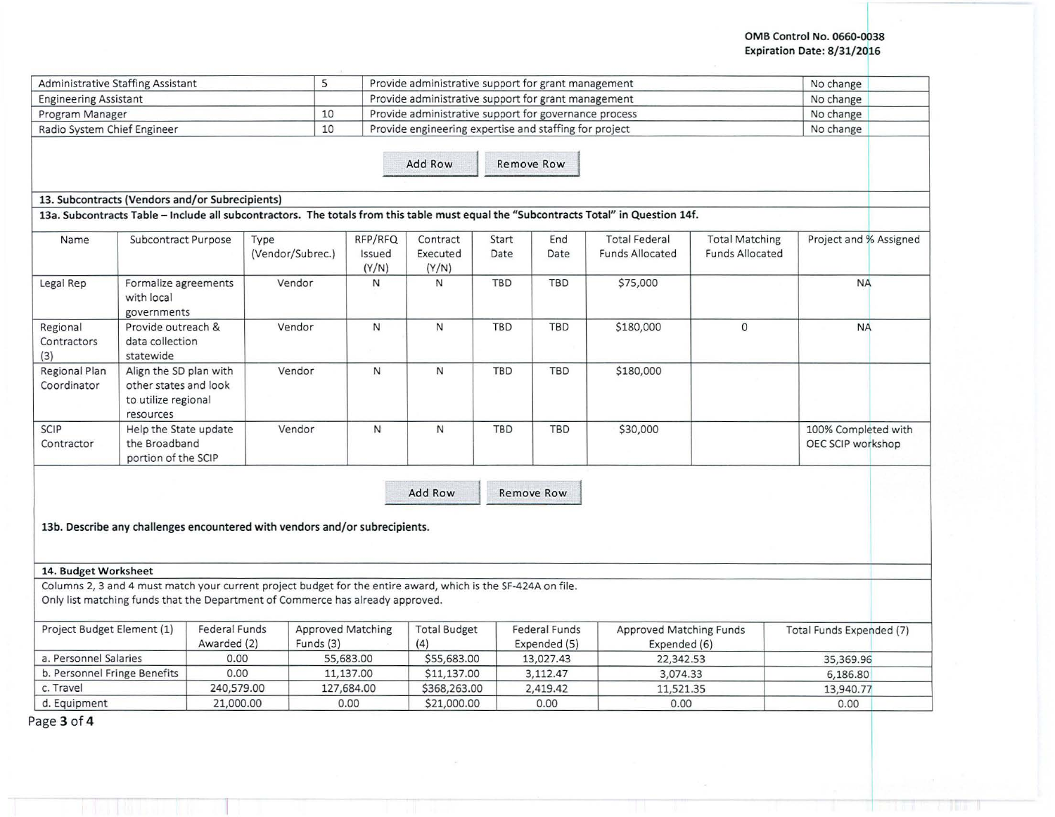## OMB Control No. 0660-0038 Expiration Date: 8/31/2016

| Administrative Staffing Assistant |                                                                                     |                                     | 5                                                                                                                                                                                               |                          | Provide administrative support for grant management    |               |                                      |                                                                                                                                       |                                                 | No change                                |  |
|-----------------------------------|-------------------------------------------------------------------------------------|-------------------------------------|-------------------------------------------------------------------------------------------------------------------------------------------------------------------------------------------------|--------------------------|--------------------------------------------------------|---------------|--------------------------------------|---------------------------------------------------------------------------------------------------------------------------------------|-------------------------------------------------|------------------------------------------|--|
| <b>Engineering Assistant</b>      |                                                                                     |                                     |                                                                                                                                                                                                 |                          | Provide administrative support for grant management    |               |                                      |                                                                                                                                       |                                                 | No change                                |  |
| Program Manager                   |                                                                                     |                                     | 10                                                                                                                                                                                              |                          | Provide administrative support for governance process  |               |                                      |                                                                                                                                       |                                                 | No change                                |  |
| Radio System Chief Engineer       |                                                                                     |                                     | 10                                                                                                                                                                                              |                          | Provide engineering expertise and staffing for project |               |                                      |                                                                                                                                       |                                                 | No change                                |  |
|                                   |                                                                                     |                                     |                                                                                                                                                                                                 |                          | Add Row                                                |               | Remove Row                           |                                                                                                                                       |                                                 |                                          |  |
|                                   | 13. Subcontracts (Vendors and/or Subrecipients)                                     |                                     |                                                                                                                                                                                                 |                          |                                                        |               |                                      | 13a. Subcontracts Table - Include all subcontractors. The totals from this table must equal the "Subcontracts Total" in Question 14f. |                                                 |                                          |  |
| Name                              | Subcontract Purpose                                                                 |                                     | Type<br>(Vendor/Subrec.)                                                                                                                                                                        | RFP/RFQ<br>Issued        | Contract<br>Executed                                   | Start<br>Date | End<br>Date                          | <b>Total Federal</b><br><b>Funds Allocated</b>                                                                                        | <b>Total Matching</b><br><b>Funds Allocated</b> | Project and % Assigned                   |  |
| Legal Rep                         | Formalize agreements<br>with local                                                  |                                     | Vendor                                                                                                                                                                                          | (Y/N)<br>N               | (Y/N)<br>N                                             | <b>TBD</b>    | TBD                                  | \$75,000                                                                                                                              |                                                 | <b>NA</b>                                |  |
| Regional<br>Contractors<br>(3)    | governments<br>Provide outreach &<br>data collection<br>statewide                   |                                     | Vendor                                                                                                                                                                                          | N                        | N                                                      | <b>TBD</b>    | <b>TBD</b>                           | \$180,000                                                                                                                             | $\circ$                                         | <b>NA</b>                                |  |
| Regional Plan<br>Coordinator      | Align the SD plan with<br>other states and look<br>to utilize regional<br>resources |                                     | Vendor                                                                                                                                                                                          | $\mathsf{N}$             | N                                                      | <b>TBD</b>    | TBD                                  | \$180,000                                                                                                                             |                                                 |                                          |  |
| SCIP<br>Contractor                | Help the State update<br>the Broadband<br>portion of the SCIP                       |                                     | Vendor                                                                                                                                                                                          | $\mathsf{N}$             | N                                                      | <b>TBD</b>    | <b>TBD</b>                           | \$30,000                                                                                                                              |                                                 | 100% Completed with<br>OEC SCIP workshop |  |
|                                   |                                                                                     |                                     | 13b. Describe any challenges encountered with vendors and/or subrecipients.                                                                                                                     |                          | Add Row                                                |               | Remove Row                           |                                                                                                                                       |                                                 |                                          |  |
| 14. Budget Worksheet              |                                                                                     |                                     |                                                                                                                                                                                                 |                          |                                                        |               |                                      |                                                                                                                                       |                                                 |                                          |  |
|                                   |                                                                                     |                                     | Columns 2, 3 and 4 must match your current project budget for the entire award, which is the SF-424A on file.<br>Only list matching funds that the Department of Commerce has already approved. |                          |                                                        |               |                                      |                                                                                                                                       |                                                 |                                          |  |
| Project Budget Element (1)        |                                                                                     | <b>Federal Funds</b><br>Awarded (2) | Funds (3)                                                                                                                                                                                       | <b>Approved Matching</b> | <b>Total Budget</b><br>(4)                             |               | <b>Federal Funds</b><br>Expended (5) | Approved Matching Funds<br>Expended (6)                                                                                               |                                                 | Total Funds Expended (7)                 |  |
| a. Personnel Salaries             |                                                                                     | 0.00                                |                                                                                                                                                                                                 | 55,683.00                | \$55,683.00                                            |               | 13,027.43                            | 22,342.53                                                                                                                             |                                                 | 35,369.96                                |  |
|                                   | b. Personnel Fringe Benefits                                                        | 0.00                                |                                                                                                                                                                                                 | 11,137.00                | \$11,137.00                                            |               | 3,112.47                             | 3,074.33                                                                                                                              |                                                 | 6,186.80                                 |  |
|                                   |                                                                                     |                                     |                                                                                                                                                                                                 |                          |                                                        |               |                                      |                                                                                                                                       |                                                 |                                          |  |
| c. Travel                         |                                                                                     | 240,579.00                          |                                                                                                                                                                                                 | 127,684.00               | \$368,263.00                                           |               | 2,419.42                             | 11,521.35                                                                                                                             |                                                 | 13,940.77                                |  |